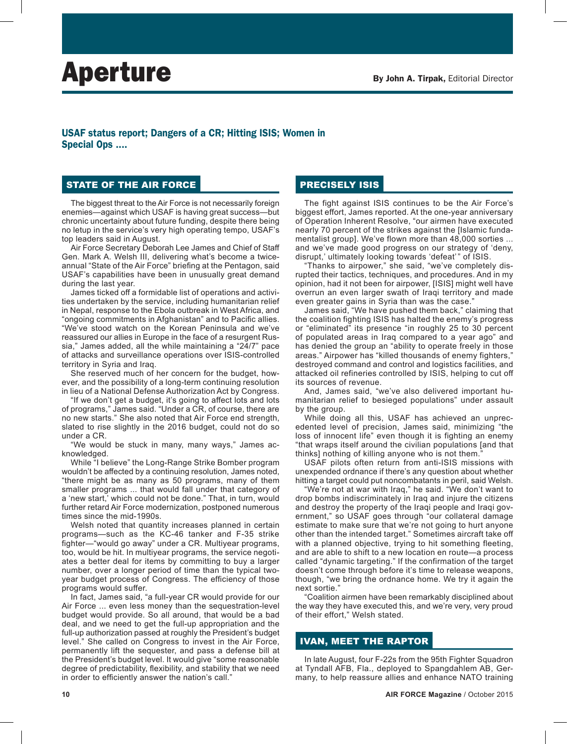# USAF status report; Dangers of a CR; Hitting ISIS; Women in Special Ops ....

## STATE OF THE AIR FORCE

The biggest threat to the Air Force is not necessarily foreign enemies—against which USAF is having great success—but chronic uncertainty about future funding, despite there being no letup in the service's very high operating tempo, USAF's top leaders said in August.

Air Force Secretary Deborah Lee James and Chief of Staff Gen. Mark A. Welsh III, delivering what's become a twiceannual "State of the Air Force" briefing at the Pentagon, said USAF's capabilities have been in unusually great demand during the last year.

James ticked off a formidable list of operations and activities undertaken by the service, including humanitarian relief in Nepal, response to the Ebola outbreak in West Africa, and "ongoing commitments in Afghanistan" and to Pacific allies. "We've stood watch on the Korean Peninsula and we've reassured our allies in Europe in the face of a resurgent Russia," James added, all the while maintaining a "24/7" pace of attacks and surveillance operations over ISIS-controlled territory in Syria and Iraq.

She reserved much of her concern for the budget, however, and the possibility of a long-term continuing resolution in lieu of a National Defense Authorization Act by Congress.

"If we don't get a budget, it's going to affect lots and lots of programs," James said. "Under a CR, of course, there are no new starts." She also noted that Air Force end strength, slated to rise slightly in the 2016 budget, could not do so under a CR.

"We would be stuck in many, many ways," James acknowledged.

While "I believe" the Long-Range Strike Bomber program wouldn't be affected by a continuing resolution, James noted, "there might be as many as 50 programs, many of them smaller programs ... that would fall under that category of a 'new start,' which could not be done." That, in turn, would further retard Air Force modernization, postponed numerous times since the mid-1990s.

Welsh noted that quantity increases planned in certain programs—such as the KC-46 tanker and F-35 strike fighter—"would go away" under a CR. Multiyear programs, too, would be hit. In multiyear programs, the service negotiates a better deal for items by committing to buy a larger number, over a longer period of time than the typical twoyear budget process of Congress. The efficiency of those programs would suffer.

In fact, James said, "a full-year CR would provide for our Air Force ... even less money than the sequestration-level budget would provide. So all around, that would be a bad deal, and we need to get the full-up appropriation and the full-up authorization passed at roughly the President's budget level." She called on Congress to invest in the Air Force, permanently lift the sequester, and pass a defense bill at the President's budget level. It would give "some reasonable degree of predictability, flexibility, and stability that we need in order to efficiently answer the nation's call."

## PRECISELY ISIS

The fight against ISIS continues to be the Air Force's biggest effort, James reported. At the one-year anniversary of Operation Inherent Resolve, "our airmen have executed nearly 70 percent of the strikes against the [Islamic fundamentalist group]. We've flown more than 48,000 sorties ... and we've made good progress on our strategy of 'deny, disrupt,' ultimately looking towards 'defeat'" of ISIS.

"Thanks to airpower," she said, "we've completely disrupted their tactics, techniques, and procedures. And in my opinion, had it not been for airpower, [ISIS] might well have overrun an even larger swath of Iraqi territory and made even greater gains in Syria than was the case."

James said, "We have pushed them back," claiming that the coalition fighting ISIS has halted the enemy's progress or "eliminated" its presence "in roughly 25 to 30 percent of populated areas in Iraq compared to a year ago" and has denied the group an "ability to operate freely in those areas." Airpower has "killed thousands of enemy fighters," destroyed command and control and logistics facilities, and attacked oil refineries controlled by ISIS, helping to cut off its sources of revenue.

And, James said, "we've also delivered important humanitarian relief to besieged populations" under assault by the group.

While doing all this, USAF has achieved an unprecedented level of precision, James said, minimizing "the loss of innocent life" even though it is fighting an enemy "that wraps itself around the civilian populations [and that thinks] nothing of killing anyone who is not them.

USAF pilots often return from anti-ISIS missions with unexpended ordnance if there's any question about whether hitting a target could put noncombatants in peril, said Welsh.

"We're not at war with Iraq," he said. "We don't want to drop bombs indiscriminately in Iraq and injure the citizens and destroy the property of the Iraqi people and Iraqi government," so USAF goes through "our collateral damage estimate to make sure that we're not going to hurt anyone other than the intended target." Sometimes aircraft take off with a planned objective, trying to hit something fleeting, and are able to shift to a new location en route—a process called "dynamic targeting." If the confirmation of the target doesn't come through before it's time to release weapons, though, "we bring the ordnance home. We try it again the next sortie."

"Coalition airmen have been remarkably disciplined about the way they have executed this, and we're very, very proud of their effort," Welsh stated.

### IVAN, MEET THE RAPTOR

In late August, four F-22s from the 95th Fighter Squadron at Tyndall AFB, Fla., deployed to Spangdahlem AB, Germany, to help reassure allies and enhance NATO training